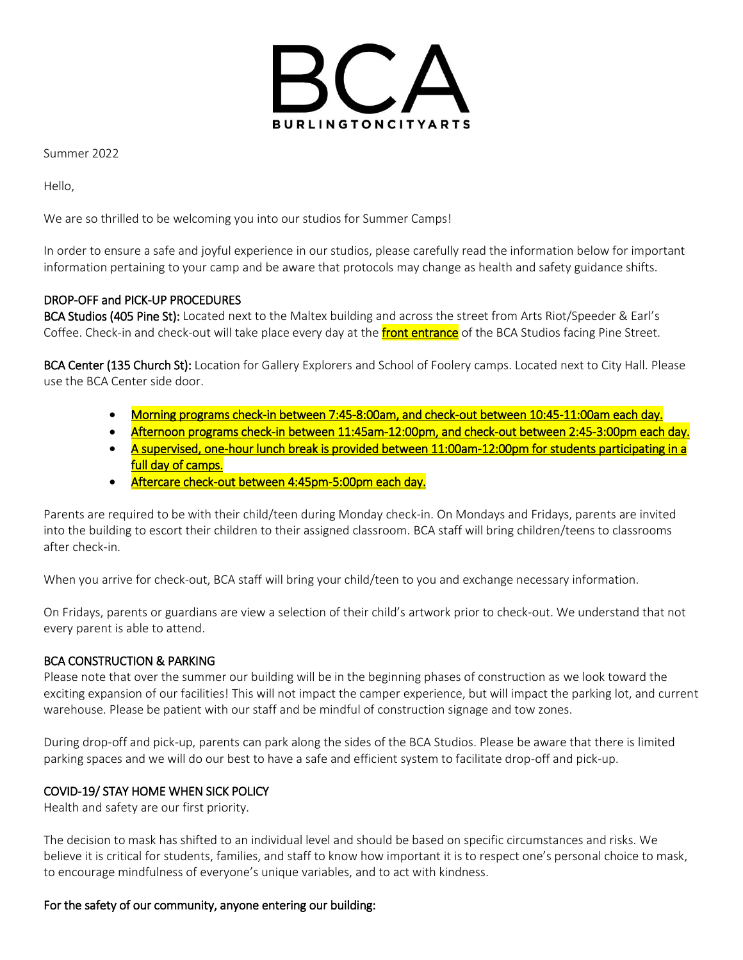

Summer 2022

Hello,

We are so thrilled to be welcoming you into our studios for Summer Camps!

In order to ensure a safe and joyful experience in our studios, please carefully read the information below for important information pertaining to your camp and be aware that protocols may change as health and safety guidance shifts.

# DROP-OFF and PICK-UP PROCEDURES

BCA Studios (405 Pine St): Located next to the Maltex building and across the street from Arts Riot/Speeder & Earl's Coffee. Check-in and check-out will take place every day at the **front entrance** of the BCA Studios facing Pine Street.

BCA Center (135 Church St): Location for Gallery Explorers and School of Foolery camps. Located next to City Hall. Please use the BCA Center side door.

- Morning programs check-in between 7:45-8:00am, and check-out between 10:45-11:00am each day.
- Afternoon programs check-in between 11:45am-12:00pm, and check-out between 2:45-3:00pm each day.
- A supervised, one-hour lunch break is provided between 11:00am-12:00pm for students participating in a full day of camps.
- Aftercare check-out between 4:45pm-5:00pm each day.

Parents are required to be with their child/teen during Monday check-in. On Mondays and Fridays, parents are invited into the building to escort their children to their assigned classroom. BCA staff will bring children/teens to classrooms after check-in.

When you arrive for check-out, BCA staff will bring your child/teen to you and exchange necessary information.

On Fridays, parents or guardians are view a selection of their child's artwork prior to check-out. We understand that not every parent is able to attend.

# BCA CONSTRUCTION & PARKING

Please note that over the summer our building will be in the beginning phases of construction as we look toward the exciting expansion of our facilities! This will not impact the camper experience, but will impact the parking lot, and current warehouse. Please be patient with our staff and be mindful of construction signage and tow zones.

During drop-off and pick-up, parents can park along the sides of the BCA Studios. Please be aware that there is limited parking spaces and we will do our best to have a safe and efficient system to facilitate drop-off and pick-up.

# COVID-19/ STAY HOME WHEN SICK POLICY

Health and safety are our first priority.

The decision to mask has shifted to an individual level and should be based on specific circumstances and risks. We believe it is critical for students, families, and staff to know how important it is to respect one's personal choice to mask, to encourage mindfulness of everyone's unique variables, and to act with kindness.

# For the safety of our community, anyone entering our building: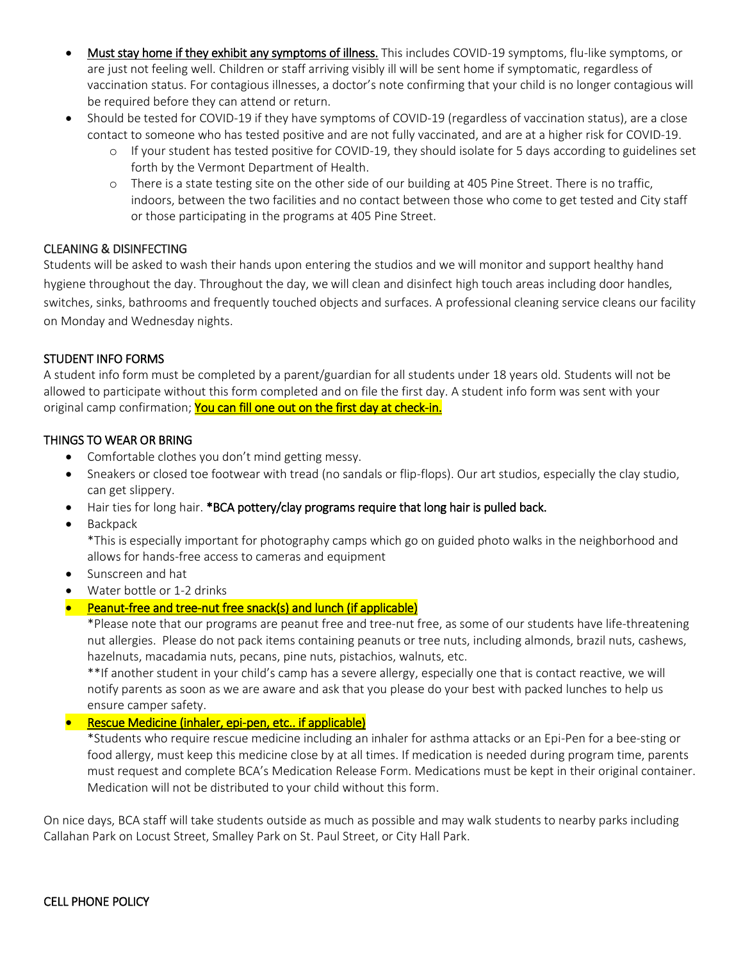- Must stay home if they exhibit any symptoms of illness. This includes COVID-19 symptoms, flu-like symptoms, or are just not feeling well. Children or staff arriving visibly ill will be sent home if symptomatic, regardless of vaccination status. For contagious illnesses, a doctor's note confirming that your child is no longer contagious will be required before they can attend or return.
- Should be tested for COVID-19 if they have symptoms of COVID-19 (regardless of vaccination status), are a close contact to someone who has tested positive and are not fully vaccinated, and are at a higher risk for COVID-19.
	- o If your student has tested positive for COVID-19, they should isolate for 5 days according to guidelines set forth by the Vermont Department of Health.
	- o There is a state testing site on the other side of our building at 405 Pine Street. There is no traffic, indoors, between the two facilities and no contact between those who come to get tested and City staff or those participating in the programs at 405 Pine Street.

# CLEANING & DISINFECTING

Students will be asked to wash their hands upon entering the studios and we will monitor and support healthy hand hygiene throughout the day. Throughout the day, we will clean and disinfect high touch areas including door handles, switches, sinks, bathrooms and frequently touched objects and surfaces. A professional cleaning service cleans our facility on Monday and Wednesday nights.

### STUDENT INFO FORMS

A student info form must be completed by a parent/guardian for all students under 18 years old. Students will not be allowed to participate without this form completed and on file the first day. A student info form was sent with your original camp confirmation; You can fill one out on the first day at check-in.

### THINGS TO WEAR OR BRING

- Comfortable clothes you don't mind getting messy.
- Sneakers or closed toe footwear with tread (no sandals or flip-flops). Our art studios, especially the clay studio, can get slippery.
- Hair ties for long hair. \*BCA pottery/clay programs require that long hair is pulled back.
- **Backpack**

\*This is especially important for photography camps which go on guided photo walks in the neighborhood and allows for hands-free access to cameras and equipment

- Sunscreen and hat
- Water bottle or 1-2 drinks
- Peanut-free and tree-nut free snack(s) and lunch (if applicable)

\*Please note that our programs are peanut free and tree-nut free, as some of our students have life-threatening nut allergies. Please do not pack items containing peanuts or tree nuts, including almonds, brazil nuts, cashews, hazelnuts, macadamia nuts, pecans, pine nuts, pistachios, walnuts, etc.

\*\*If another student in your child's camp has a severe allergy, especially one that is contact reactive, we will notify parents as soon as we are aware and ask that you please do your best with packed lunches to help us ensure camper safety.

• Rescue Medicine (inhaler, epi-pen, etc.. if applicable)

\*Students who require rescue medicine including an inhaler for asthma attacks or an Epi-Pen for a bee-sting or food allergy, must keep this medicine close by at all times. If medication is needed during program time, parents must request and complete BCA's Medication Release Form. Medications must be kept in their original container. Medication will not be distributed to your child without this form.

On nice days, BCA staff will take students outside as much as possible and may walk students to nearby parks including Callahan Park on Locust Street, Smalley Park on St. Paul Street, or City Hall Park.